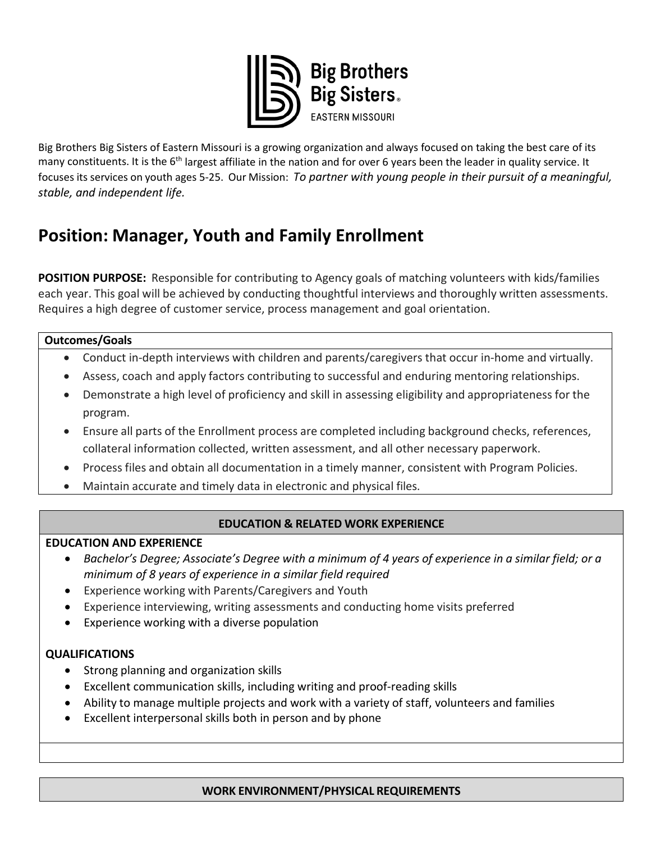

Big Brothers Big Sisters of Eastern Missouri is a growing organization and always focused on taking the best care of its many constituents. It is the 6<sup>th</sup> largest affiliate in the nation and for over 6 years been the leader in quality service. It focuses its services on youth ages 5-25. Our Mission: *To partner with young people in their pursuit of a meaningful, stable, and independent life.* 

# **Position: Manager, Youth and Family Enrollment**

**POSITION PURPOSE:** Responsible for contributing to Agency goals of matching volunteers with kids/families each year. This goal will be achieved by conducting thoughtful interviews and thoroughly written assessments. Requires a high degree of customer service, process management and goal orientation.

## **Outcomes/Goals**

- Conduct in-depth interviews with children and parents/caregivers that occur in-home and virtually.
- Assess, coach and apply factors contributing to successful and enduring mentoring relationships.
- Demonstrate a high level of proficiency and skill in assessing eligibility and appropriateness for the program.
- Ensure all parts of the Enrollment process are completed including background checks, references, collateral information collected, written assessment, and all other necessary paperwork.
- Process files and obtain all documentation in a timely manner, consistent with Program Policies.
- Maintain accurate and timely data in electronic and physical files.

# **EDUCATION & RELATED WORK EXPERIENCE**

# **EDUCATION AND EXPERIENCE**

- *Bachelor's Degree; Associate's Degree with a minimum of 4 years of experience in a similar field; or a minimum of 8 years of experience in a similar field required*
- Experience working with Parents/Caregivers and Youth
- Experience interviewing, writing assessments and conducting home visits preferred
- Experience working with a diverse population

# **QUALIFICATIONS**

- Strong planning and organization skills
- Excellent communication skills, including writing and proof-reading skills
- Ability to manage multiple projects and work with a variety of staff, volunteers and families
- Excellent interpersonal skills both in person and by phone